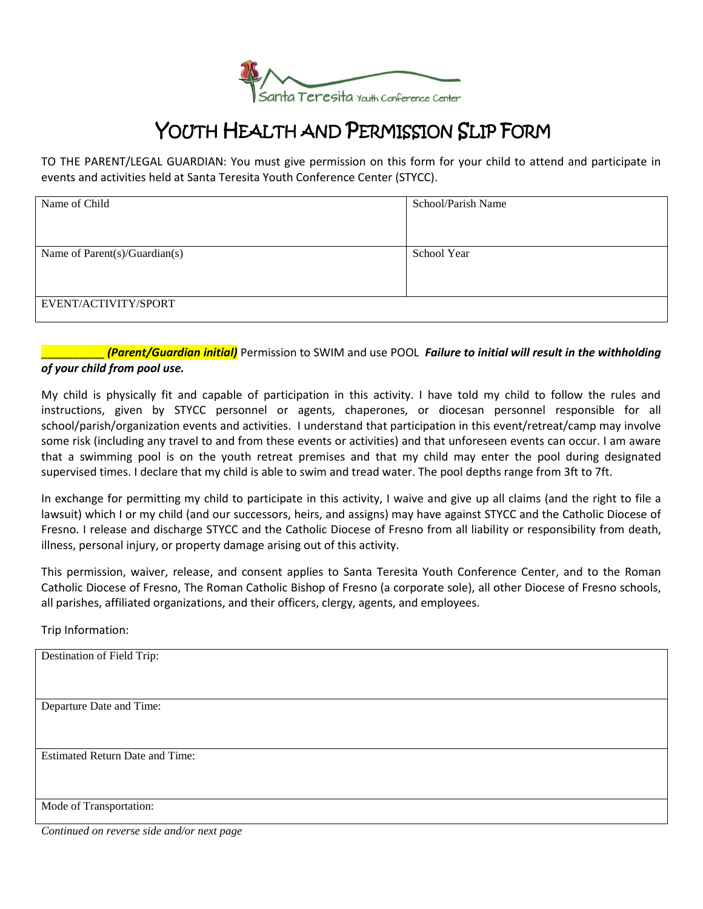

## YOUTH HEALTH AND PERMISSION SLIP FORM

TO THE PARENT/LEGAL GUARDIAN: You must give permission on this form for your child to attend and participate in events and activities held at Santa Teresita Youth Conference Center (STYCC).

| Name of Child                   | School/Parish Name |
|---------------------------------|--------------------|
|                                 |                    |
|                                 |                    |
|                                 |                    |
|                                 |                    |
|                                 |                    |
| Name of $Parent(s)/Guardian(s)$ | School Year        |
|                                 |                    |
|                                 |                    |
|                                 |                    |
|                                 |                    |
|                                 |                    |
| EVENT/ACTIVITY/SPORT            |                    |
|                                 |                    |
|                                 |                    |

\_\_\_\_\_\_\_\_\_\_ *(Parent/Guardian initial)* Permission to SWIM and use POOL *Failure to initial will result in the withholding of your child from pool use.*

My child is physically fit and capable of participation in this activity. I have told my child to follow the rules and instructions, given by STYCC personnel or agents, chaperones, or diocesan personnel responsible for all school/parish/organization events and activities. I understand that participation in this event/retreat/camp may involve some risk (including any travel to and from these events or activities) and that unforeseen events can occur. I am aware that a swimming pool is on the youth retreat premises and that my child may enter the pool during designated supervised times. I declare that my child is able to swim and tread water. The pool depths range from 3ft to 7ft.

In exchange for permitting my child to participate in this activity, I waive and give up all claims (and the right to file a lawsuit) which I or my child (and our successors, heirs, and assigns) may have against STYCC and the Catholic Diocese of Fresno. I release and discharge STYCC and the Catholic Diocese of Fresno from all liability or responsibility from death, illness, personal injury, or property damage arising out of this activity.

This permission, waiver, release, and consent applies to Santa Teresita Youth Conference Center, and to the Roman Catholic Diocese of Fresno, The Roman Catholic Bishop of Fresno (a corporate sole), all other Diocese of Fresno schools, all parishes, affiliated organizations, and their officers, clergy, agents, and employees.

Trip Information:

| Destination of Field Trip:             |
|----------------------------------------|
|                                        |
|                                        |
|                                        |
|                                        |
|                                        |
|                                        |
| Departure Date and Time:               |
|                                        |
|                                        |
|                                        |
|                                        |
|                                        |
| <b>Estimated Return Date and Time:</b> |
|                                        |
|                                        |
|                                        |
|                                        |
|                                        |
|                                        |
| Mode of Transportation:                |
|                                        |
|                                        |

*Continued on reverse side and/or next page*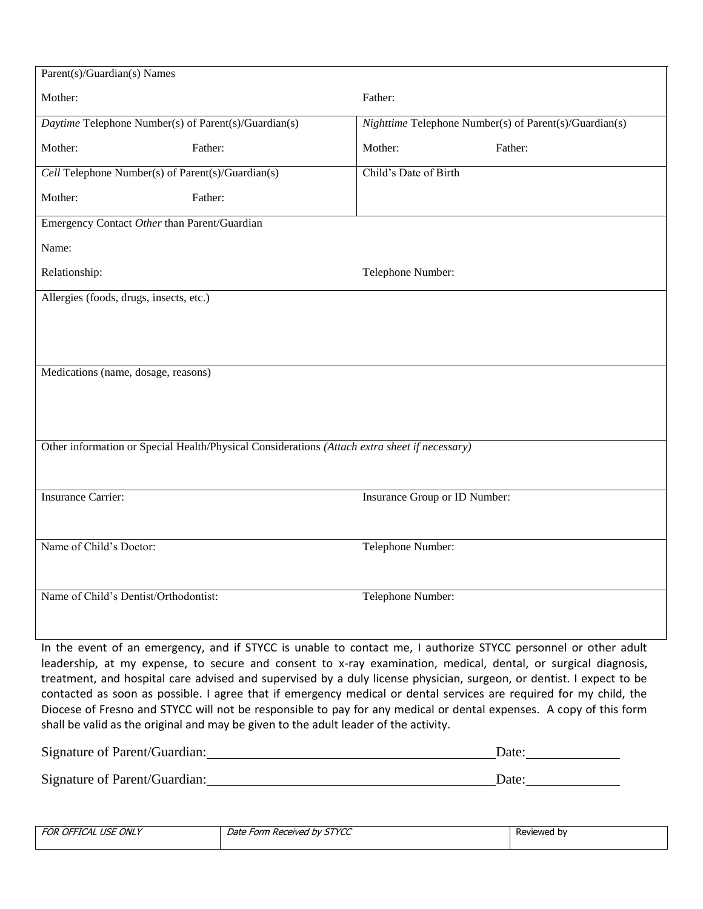| Parent(s)/Guardian(s) Names                                                                   |         |                               |                                                        |  |
|-----------------------------------------------------------------------------------------------|---------|-------------------------------|--------------------------------------------------------|--|
| Mother:                                                                                       |         | Father:                       |                                                        |  |
| Daytime Telephone Number(s) of Parent(s)/Guardian(s)                                          |         |                               | Nighttime Telephone Number(s) of Parent(s)/Guardian(s) |  |
| Mother:                                                                                       | Father: | Mother:                       | Father:                                                |  |
| Cell Telephone Number(s) of Parent(s)/Guardian(s)                                             |         | Child's Date of Birth         |                                                        |  |
| Mother:                                                                                       | Father: |                               |                                                        |  |
| Emergency Contact Other than Parent/Guardian                                                  |         |                               |                                                        |  |
| Name:                                                                                         |         |                               |                                                        |  |
| Relationship:                                                                                 |         | Telephone Number:             |                                                        |  |
| Allergies (foods, drugs, insects, etc.)                                                       |         |                               |                                                        |  |
|                                                                                               |         |                               |                                                        |  |
|                                                                                               |         |                               |                                                        |  |
| Medications (name, dosage, reasons)                                                           |         |                               |                                                        |  |
|                                                                                               |         |                               |                                                        |  |
|                                                                                               |         |                               |                                                        |  |
| Other information or Special Health/Physical Considerations (Attach extra sheet if necessary) |         |                               |                                                        |  |
|                                                                                               |         |                               |                                                        |  |
| <b>Insurance Carrier:</b>                                                                     |         | Insurance Group or ID Number: |                                                        |  |
|                                                                                               |         |                               |                                                        |  |
| Name of Child's Doctor:                                                                       |         | Telephone Number:             |                                                        |  |
|                                                                                               |         |                               |                                                        |  |
| Name of Child's Dentist/Orthodontist:                                                         |         | Telephone Number:             |                                                        |  |
|                                                                                               |         |                               |                                                        |  |
|                                                                                               |         |                               |                                                        |  |

In the event of an emergency, and if STYCC is unable to contact me, I authorize STYCC personnel or other adult leadership, at my expense, to secure and consent to x-ray examination, medical, dental, or surgical diagnosis, treatment, and hospital care advised and supervised by a duly license physician, surgeon, or dentist. I expect to be contacted as soon as possible. I agree that if emergency medical or dental services are required for my child, the Diocese of Fresno and STYCC will not be responsible to pay for any medical or dental expenses. A copy of this form shall be valid as the original and may be given to the adult leader of the activity.

| Signature of Parent/Guardian: | Date: |
|-------------------------------|-------|
| Signature of Parent/Guardian: | Date: |

| FOR OFFICAL USE ONLY | Date Form Received by STYCC | Reviewed by |
|----------------------|-----------------------------|-------------|
|                      |                             |             |